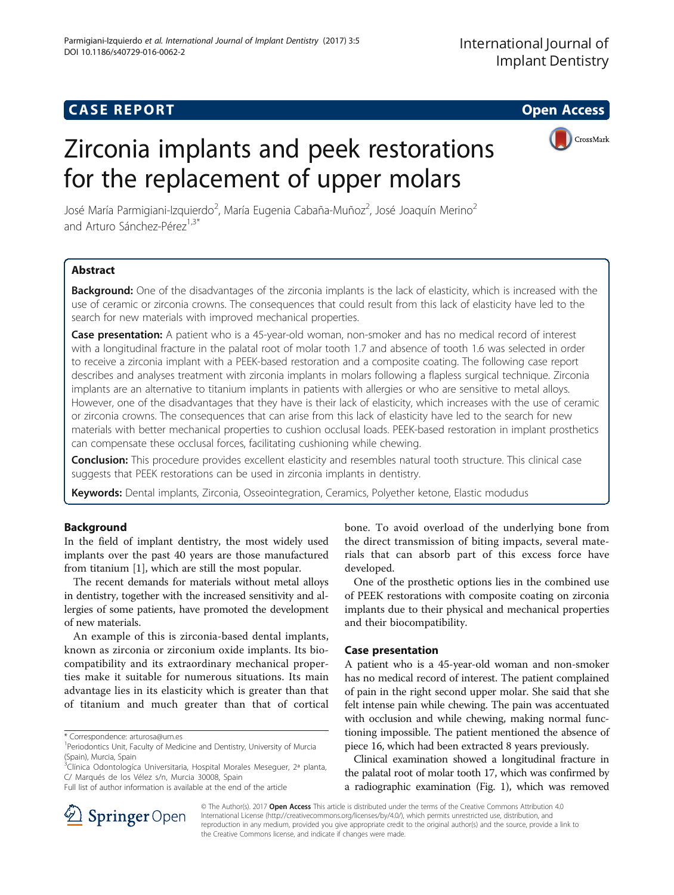## **CASE REPORT CASE REPORT CASE REPORT**

# Zirconia implants and peek restorations for the replacement of upper molars



José María Parmigiani-Izquierdo<sup>2</sup>, María Eugenia Cabaña-Muñoz<sup>2</sup>, José Joaquín Merino<sup>2</sup> and Arturo Sánchez-Pérez<sup>1,3\*</sup>

## Abstract

Background: One of the disadvantages of the zirconia implants is the lack of elasticity, which is increased with the use of ceramic or zirconia crowns. The consequences that could result from this lack of elasticity have led to the search for new materials with improved mechanical properties.

Case presentation: A patient who is a 45-year-old woman, non-smoker and has no medical record of interest with a longitudinal fracture in the palatal root of molar tooth 1.7 and absence of tooth 1.6 was selected in order to receive a zirconia implant with a PEEK-based restoration and a composite coating. The following case report describes and analyses treatment with zirconia implants in molars following a flapless surgical technique. Zirconia implants are an alternative to titanium implants in patients with allergies or who are sensitive to metal alloys. However, one of the disadvantages that they have is their lack of elasticity, which increases with the use of ceramic or zirconia crowns. The consequences that can arise from this lack of elasticity have led to the search for new materials with better mechanical properties to cushion occlusal loads. PEEK-based restoration in implant prosthetics can compensate these occlusal forces, facilitating cushioning while chewing.

Conclusion: This procedure provides excellent elasticity and resembles natural tooth structure. This clinical case suggests that PEEK restorations can be used in zirconia implants in dentistry.

Keywords: Dental implants, Zirconia, Osseointegration, Ceramics, Polyether ketone, Elastic modudus

## Background

In the field of implant dentistry, the most widely used implants over the past 40 years are those manufactured from titanium [\[1](#page-4-0)], which are still the most popular.

The recent demands for materials without metal alloys in dentistry, together with the increased sensitivity and allergies of some patients, have promoted the development of new materials.

An example of this is zirconia-based dental implants, known as zirconia or zirconium oxide implants. Its biocompatibility and its extraordinary mechanical properties make it suitable for numerous situations. Its main advantage lies in its elasticity which is greater than that of titanium and much greater than that of cortical

bone. To avoid overload of the underlying bone from the direct transmission of biting impacts, several materials that can absorb part of this excess force have developed.

One of the prosthetic options lies in the combined use of PEEK restorations with composite coating on zirconia implants due to their physical and mechanical properties and their biocompatibility.

## Case presentation

A patient who is a 45-year-old woman and non-smoker has no medical record of interest. The patient complained of pain in the right second upper molar. She said that she felt intense pain while chewing. The pain was accentuated with occlusion and while chewing, making normal functioning impossible. The patient mentioned the absence of piece 16, which had been extracted 8 years previously.

Clinical examination showed a longitudinal fracture in the palatal root of molar tooth 17, which was confirmed by a radiographic examination (Fig. [1](#page-1-0)), which was removed



© The Author(s). 2017 Open Access This article is distributed under the terms of the Creative Commons Attribution 4.0 International License ([http://creativecommons.org/licenses/by/4.0/\)](http://creativecommons.org/licenses/by/4.0/), which permits unrestricted use, distribution, and reproduction in any medium, provided you give appropriate credit to the original author(s) and the source, provide a link to the Creative Commons license, and indicate if changes were made.

<sup>\*</sup> Correspondence: [arturosa@um.es](mailto:arturosa@um.es) <sup>1</sup>

Periodontics Unit, Faculty of Medicine and Dentistry, University of Murcia (Spain), Murcia, Spain

<sup>&</sup>lt;sup>3</sup>Clínica Odontologíca Universitaria, Hospital Morales Meseguer, 2ª planta, C/ Marqués de los Vélez s/n, Murcia 30008, Spain

Full list of author information is available at the end of the article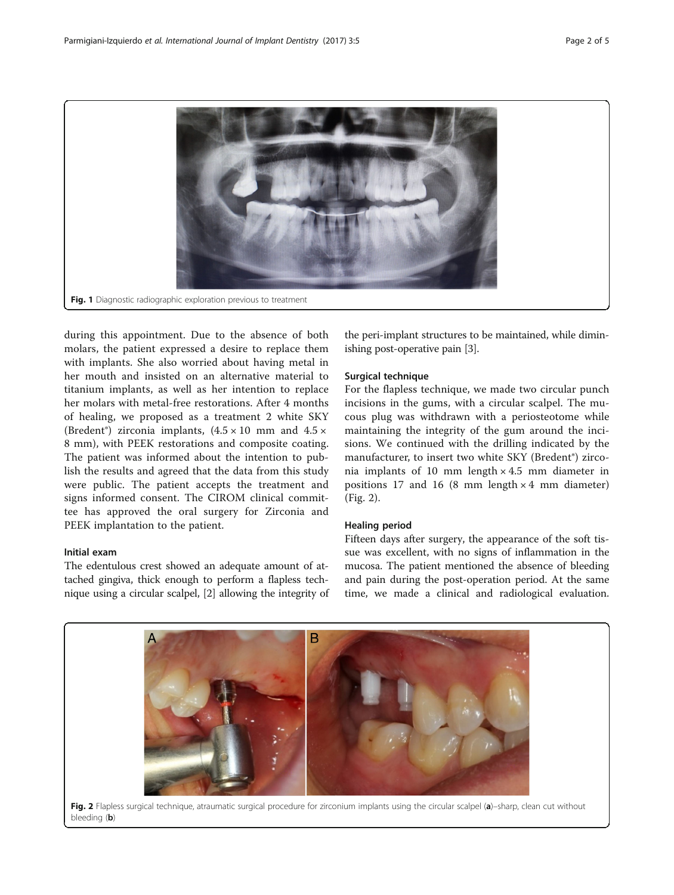<span id="page-1-0"></span>

during this appointment. Due to the absence of both molars, the patient expressed a desire to replace them with implants. She also worried about having metal in her mouth and insisted on an alternative material to titanium implants, as well as her intention to replace her molars with metal-free restorations. After 4 months of healing, we proposed as a treatment 2 white SKY (Bredent<sup>®</sup>) zirconia implants,  $(4.5 \times 10 \text{ mm and } 4.5 \times$ 8 mm), with PEEK restorations and composite coating. The patient was informed about the intention to publish the results and agreed that the data from this study were public. The patient accepts the treatment and signs informed consent. The CIROM clinical committee has approved the oral surgery for Zirconia and PEEK implantation to the patient.

## Initial exam

The edentulous crest showed an adequate amount of attached gingiva, thick enough to perform a flapless technique using a circular scalpel, [[2\]](#page-4-0) allowing the integrity of

the peri-implant structures to be maintained, while diminishing post-operative pain [[3](#page-4-0)].

## Surgical technique

For the flapless technique, we made two circular punch incisions in the gums, with a circular scalpel. The mucous plug was withdrawn with a periosteotome while maintaining the integrity of the gum around the incisions. We continued with the drilling indicated by the manufacturer, to insert two white SKY (Bredent®) zirconia implants of 10 mm length × 4.5 mm diameter in positions 17 and 16 (8 mm length  $\times$  4 mm diameter) (Fig. 2).

### Healing period

Fifteen days after surgery, the appearance of the soft tissue was excellent, with no signs of inflammation in the mucosa. The patient mentioned the absence of bleeding and pain during the post-operation period. At the same time, we made a clinical and radiological evaluation.

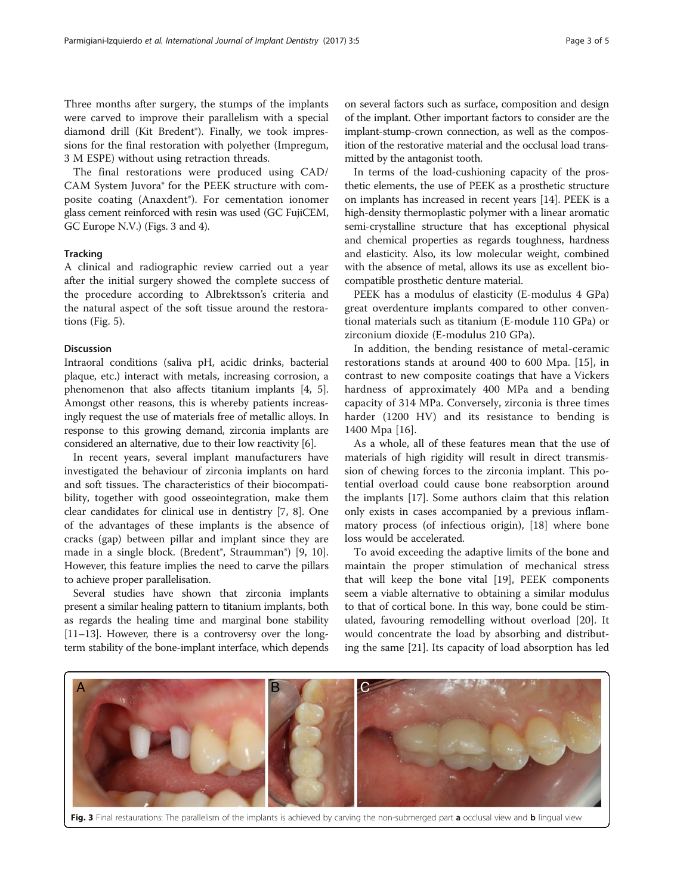Three months after surgery, the stumps of the implants were carved to improve their parallelism with a special diamond drill (Kit Bredent®). Finally, we took impressions for the final restoration with polyether (Impregum, 3 M ESPE) without using retraction threads.

The final restorations were produced using CAD/ CAM System Juvora® for the PEEK structure with composite coating (Anaxdent®). For cementation ionomer glass cement reinforced with resin was used (GC FujiCEM, GC Europe N.V.) (Figs. 3 and [4](#page-3-0)).

## **Tracking**

A clinical and radiographic review carried out a year after the initial surgery showed the complete success of the procedure according to Albrektsson's criteria and the natural aspect of the soft tissue around the restorations (Fig. [5](#page-3-0)).

#### Discussion

Intraoral conditions (saliva pH, acidic drinks, bacterial plaque, etc.) interact with metals, increasing corrosion, a phenomenon that also affects titanium implants [[4](#page-4-0), [5](#page-4-0)]. Amongst other reasons, this is whereby patients increasingly request the use of materials free of metallic alloys. In response to this growing demand, zirconia implants are considered an alternative, due to their low reactivity [[6](#page-4-0)].

In recent years, several implant manufacturers have investigated the behaviour of zirconia implants on hard and soft tissues. The characteristics of their biocompatibility, together with good osseointegration, make them clear candidates for clinical use in dentistry [[7, 8\]](#page-4-0). One of the advantages of these implants is the absence of cracks (gap) between pillar and implant since they are made in a single block. (Bredent<sup>®</sup>, Straumman<sup>®</sup>) [\[9](#page-4-0), [10](#page-4-0)]. However, this feature implies the need to carve the pillars to achieve proper parallelisation.

Several studies have shown that zirconia implants present a similar healing pattern to titanium implants, both as regards the healing time and marginal bone stability [[11](#page-4-0)–[13\]](#page-4-0). However, there is a controversy over the longterm stability of the bone-implant interface, which depends on several factors such as surface, composition and design of the implant. Other important factors to consider are the implant-stump-crown connection, as well as the composition of the restorative material and the occlusal load transmitted by the antagonist tooth.

In terms of the load-cushioning capacity of the prosthetic elements, the use of PEEK as a prosthetic structure on implants has increased in recent years [\[14\]](#page-4-0). PEEK is a high-density thermoplastic polymer with a linear aromatic semi-crystalline structure that has exceptional physical and chemical properties as regards toughness, hardness and elasticity. Also, its low molecular weight, combined with the absence of metal, allows its use as excellent biocompatible prosthetic denture material.

PEEK has a modulus of elasticity (E-modulus 4 GPa) great overdenture implants compared to other conventional materials such as titanium (E-module 110 GPa) or zirconium dioxide (E-modulus 210 GPa).

In addition, the bending resistance of metal-ceramic restorations stands at around 400 to 600 Mpa. [\[15](#page-4-0)], in contrast to new composite coatings that have a Vickers hardness of approximately 400 MPa and a bending capacity of 314 MPa. Conversely, zirconia is three times harder (1200 HV) and its resistance to bending is 1400 Mpa [[16\]](#page-4-0).

As a whole, all of these features mean that the use of materials of high rigidity will result in direct transmission of chewing forces to the zirconia implant. This potential overload could cause bone reabsorption around the implants [[17](#page-4-0)]. Some authors claim that this relation only exists in cases accompanied by a previous inflammatory process (of infectious origin), [\[18](#page-4-0)] where bone loss would be accelerated.

To avoid exceeding the adaptive limits of the bone and maintain the proper stimulation of mechanical stress that will keep the bone vital [\[19](#page-4-0)], PEEK components seem a viable alternative to obtaining a similar modulus to that of cortical bone. In this way, bone could be stimulated, favouring remodelling without overload [\[20](#page-4-0)]. It would concentrate the load by absorbing and distributing the same [[21](#page-4-0)]. Its capacity of load absorption has led



Fig. 3 Final restaurations: The parallelism of the implants is achieved by carving the non-submerged part a occlusal view and b lingual view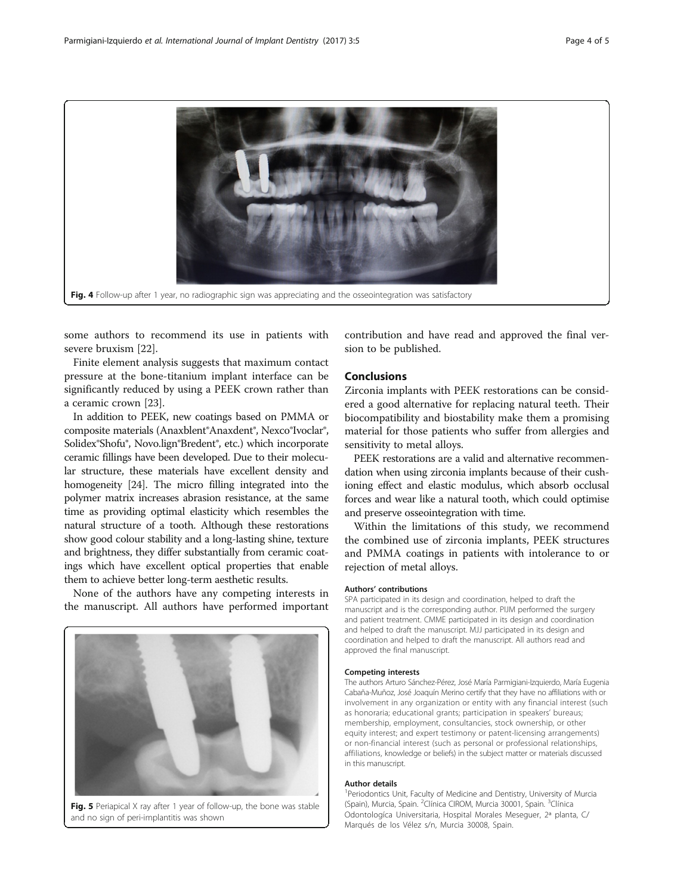<span id="page-3-0"></span>

some authors to recommend its use in patients with severe bruxism [\[22](#page-4-0)].

Finite element analysis suggests that maximum contact pressure at the bone-titanium implant interface can be significantly reduced by using a PEEK crown rather than a ceramic crown [[23](#page-4-0)].

In addition to PEEK, new coatings based on PMMA or composite materials (Anaxblent®Anaxdent®, Nexco®Ivoclar®, Solidex®Shofu®, Novo.lign®Bredent®, etc.) which incorporate ceramic fillings have been developed. Due to their molecular structure, these materials have excellent density and homogeneity [\[24\]](#page-4-0). The micro filling integrated into the polymer matrix increases abrasion resistance, at the same time as providing optimal elasticity which resembles the natural structure of a tooth. Although these restorations show good colour stability and a long-lasting shine, texture and brightness, they differ substantially from ceramic coatings which have excellent optical properties that enable them to achieve better long-term aesthetic results.

None of the authors have any competing interests in the manuscript. All authors have performed important



Fig. 5 Periapical X ray after 1 year of follow-up, the bone was stable and no sign of peri-implantitis was shown

contribution and have read and approved the final version to be published.

## Conclusions

Zirconia implants with PEEK restorations can be considered a good alternative for replacing natural teeth. Their biocompatibility and biostability make them a promising material for those patients who suffer from allergies and sensitivity to metal alloys.

PEEK restorations are a valid and alternative recommendation when using zirconia implants because of their cushioning effect and elastic modulus, which absorb occlusal forces and wear like a natural tooth, which could optimise and preserve osseointegration with time.

Within the limitations of this study, we recommend the combined use of zirconia implants, PEEK structures and PMMA coatings in patients with intolerance to or rejection of metal alloys.

#### Authors' contributions

SPA participated in its design and coordination, helped to draft the manuscript and is the corresponding author. PIJM performed the surgery and patient treatment. CMME participated in its design and coordination and helped to draft the manuscript. MJJ participated in its design and coordination and helped to draft the manuscript. All authors read and approved the final manuscript.

#### Competing interests

The authors Arturo Sánchez-Pérez, José María Parmigiani-Izquierdo, María Eugenia Cabaña-Muñoz, José Joaquín Merino certify that they have no affiliations with or involvement in any organization or entity with any financial interest (such as honoraria; educational grants; participation in speakers' bureaus; membership, employment, consultancies, stock ownership, or other equity interest; and expert testimony or patent-licensing arrangements) or non-financial interest (such as personal or professional relationships, affiliations, knowledge or beliefs) in the subject matter or materials discussed in this manuscript.

#### Author details

<sup>1</sup> Periodontics Unit, Faculty of Medicine and Dentistry, University of Murcia (Spain), Murcia, Spain. <sup>2</sup>Clínica CIROM, Murcia 30001, Spain. <sup>3</sup>Clínica Odontologíca Universitaria, Hospital Morales Meseguer, 2ª planta, C/ Marqués de los Vélez s/n, Murcia 30008, Spain.